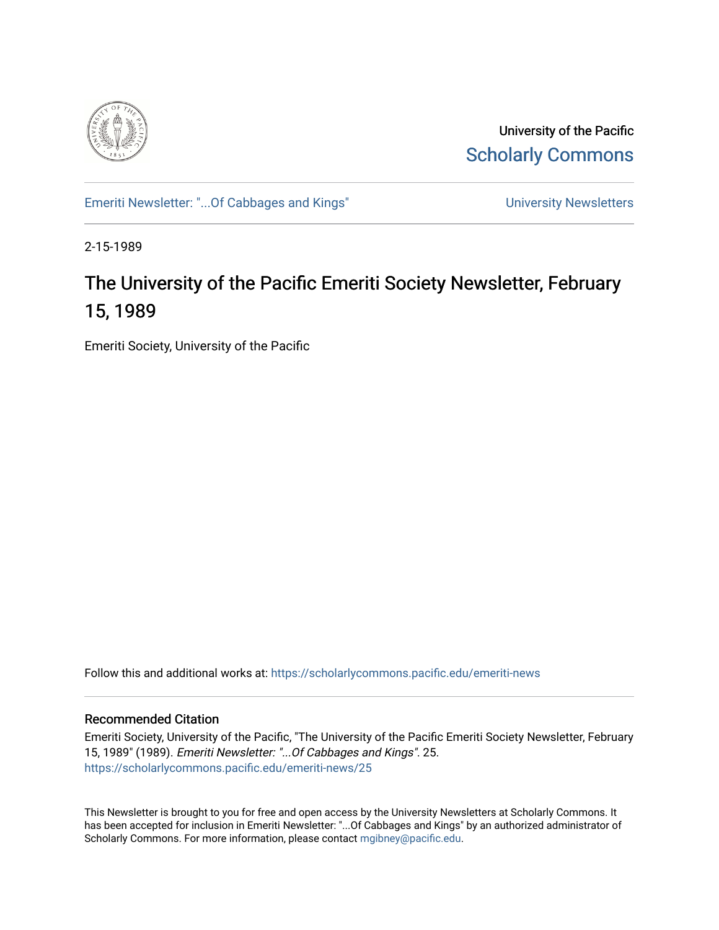

University of the Pacific [Scholarly Commons](https://scholarlycommons.pacific.edu/) 

[Emeriti Newsletter: "...Of Cabbages and Kings"](https://scholarlycommons.pacific.edu/emeriti-news) Newsletters University Newsletters

2-15-1989

## The University of the Pacific Emeriti Society Newsletter, February 15, 1989

Emeriti Society, University of the Pacific

Follow this and additional works at: [https://scholarlycommons.pacific.edu/emeriti-news](https://scholarlycommons.pacific.edu/emeriti-news?utm_source=scholarlycommons.pacific.edu%2Femeriti-news%2F25&utm_medium=PDF&utm_campaign=PDFCoverPages)

## Recommended Citation

Emeriti Society, University of the Pacific, "The University of the Pacific Emeriti Society Newsletter, February 15, 1989" (1989). Emeriti Newsletter: "...Of Cabbages and Kings". 25. [https://scholarlycommons.pacific.edu/emeriti-news/25](https://scholarlycommons.pacific.edu/emeriti-news/25?utm_source=scholarlycommons.pacific.edu%2Femeriti-news%2F25&utm_medium=PDF&utm_campaign=PDFCoverPages) 

This Newsletter is brought to you for free and open access by the University Newsletters at Scholarly Commons. It has been accepted for inclusion in Emeriti Newsletter: "...Of Cabbages and Kings" by an authorized administrator of Scholarly Commons. For more information, please contact [mgibney@pacific.edu.](mailto:mgibney@pacific.edu)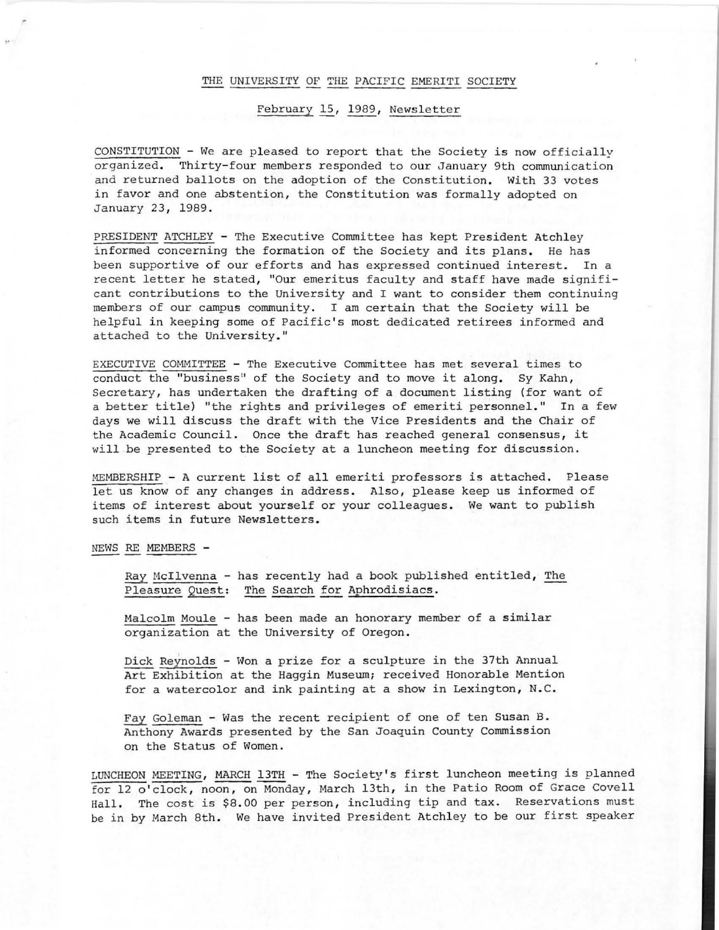## THE UNIVERSITY OF THE PACIFIC EMERITI SOCIETY

## February 15, 1989, Newsletter

 $CONSTITUTION - We are pleased to report that the Society is now officially$ organized. Thirty-four members responded to our January 9th communication and returned ballots on the adoption of the Constitution. With 33 votes in favor and one abstention, the Constitution was formally adopted on January 23, 1989.

PRESIDENT ATCHLEY - The Executive Committee has kept President Atchley informed concerning the formation of the Society and its plans. He has been supportive of our efforts and has expressed continued interest. In a recent letter he stated, "Our emeritus faculty and staff have made significant contributions to the University and I want to consider them continuing members of our campus community . I am certain that the Society will be helpful in keeping some of Pacific 's most dedicated retirees informed and attached to the University."

EXECUTIVE COMMITTEE - The Executive Committee has met several times to conduct the "business" of the Society and to move it along. Sy Kahn, Secretary, has undertaken the drafting of a document listing (for want of a better title) "the rights and privileges of emeriti personnel." In a few days we will discuss the draft with the Vice Presidents and the Chair of the Academic Council. Once the draft has reached general consensus, it will be presented to the Society at a luncheon meeting for discussion.

MEMBERSHIP - A current list of all emeriti professors is attached. Please let us know of any changes in address. Also, please keep us informed of items of interest about yourself or your colleagues. We want to publish such items in future Newsletters.

NEWS RE MEMBERS -

..

Ray McIlvenna - has recently had a book published entitled, The Pleasure Quest: The Search for Aphrodisiacs.

Malcolm Maule - has been made an honorary member of a similar organization at the University of Oregon.

Dick Reynolds - Won a prize for a sculpture in the 37th Annual Art Exhibition at the Haggin Museum; received Honorable Mention for a watercolor and ink painting at a show in Lexington, N.C.

Fay Goleman - Was the recent recipient of one of ten Susan B. Anthony Awards presented by the San Joaquin County Commission on the Status of Women .

LUNCHEON MEETING, MARCH 13TH - The Society's first luncheon meeting is planned for 12 o'clock, noon, on Monday, March 13th, in the Patio Room of Grace Covell Hall. The cost is \$8.00 per person, including tip and tax. Reservations must be in by March 8th. We have invited President Atchley to be our first speaker